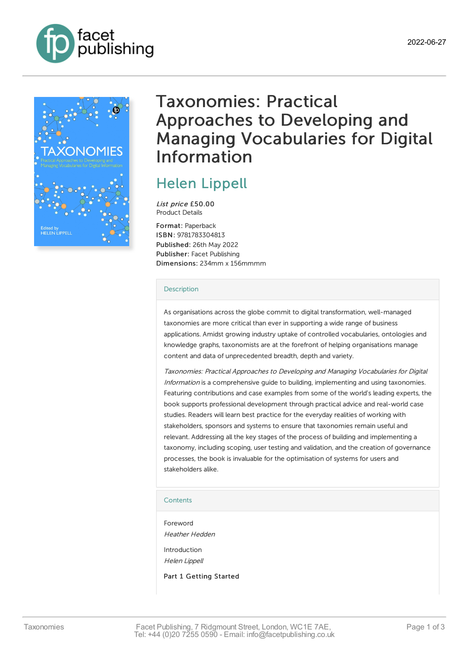



# Taxonomies: Practical Approaches to Developing and Managing Vocabularies for Digital Information

# Helen [Lippell](https://www.facetpublishing.co.uk/page/author-detail/?SF1=contributor&ST1=Helen%20Lippell)

List price £50.00 Product Details

Format: Paperback ISBN: 9781783304813 Published: 26th May 2022 Publisher: Facet Publishing Dimensions: 234mm x 156mmmm

#### [Description](javascript:void(0);)

As organisations across the globe commit to digital transformation, well-managed taxonomies are more critical than ever in supporting a wide range of business applications. Amidst growing industry uptake of controlled vocabularies, ontologies and knowledge graphs, taxonomists are at the forefront of helping organisations manage content and data of unprecedented breadth, depth and variety.

Taxonomies: Practical Approaches to Developing and Managing Vocabularies for Digital Information is a comprehensive guide to building, implementing and using taxonomies. Featuring contributions and case examples from some of the world's leading experts, the book supports professional development through practical advice and real-world case studies. Readers will learn best practice for the everyday realities of working with stakeholders, sponsors and systems to ensure that taxonomies remain useful and relevant. Addressing all the key stages of the process of building and implementing a taxonomy, including scoping, user testing and validation, and the creation of governance processes, the book is invaluable for the optimisation of systems for users and stakeholders alike.

## **[Contents](javascript:void(0);)**

Foreword Heather Hedden Introduction Helen Lippell

Part 1 Getting Started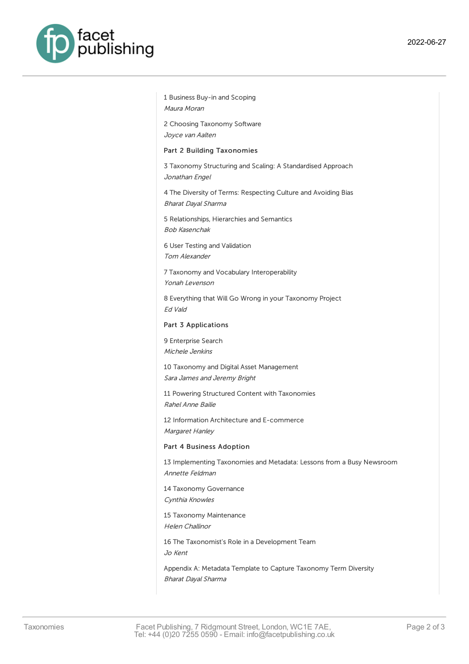

1 Business Buy-in and Scoping Maura Moran

2 Choosing Taxonomy Software Joyce van Aalten

Part 2 Building Taxonomies

3 Taxonomy Structuring and Scaling: A Standardised Approach Jonathan Engel

4 The Diversity of Terms: Respecting Culture and Avoiding Bias Bharat Dayal Sharma

5 Relationships, Hierarchies and Semantics Bob Kasenchak

6 User Testing and Validation Tom Alexander

7 Taxonomy and Vocabulary Interoperability Yonah Levenson

8 Everything that Will Go Wrong in your Taxonomy Project Ed Vald

#### Part 3 Applications

9 Enterprise Search Michele Jenkins

10 Taxonomy and Digital Asset Management Sara James and Jeremy Bright

11 Powering Structured Content with Taxonomies Rahel Anne Bailie

12 Information Architecture and E-commerce Margaret Hanley

#### Part 4 Business Adoption

13 Implementing Taxonomies and Metadata: Lessons from a Busy Newsroom Annette Feldman

14 Taxonomy Governance Cynthia Knowles

15 Taxonomy Maintenance Helen Challinor

16 The Taxonomist's Role in a Development Team

Jo Kent

Appendix A: Metadata Template to Capture Taxonomy Term Diversity Bharat Dayal Sharma